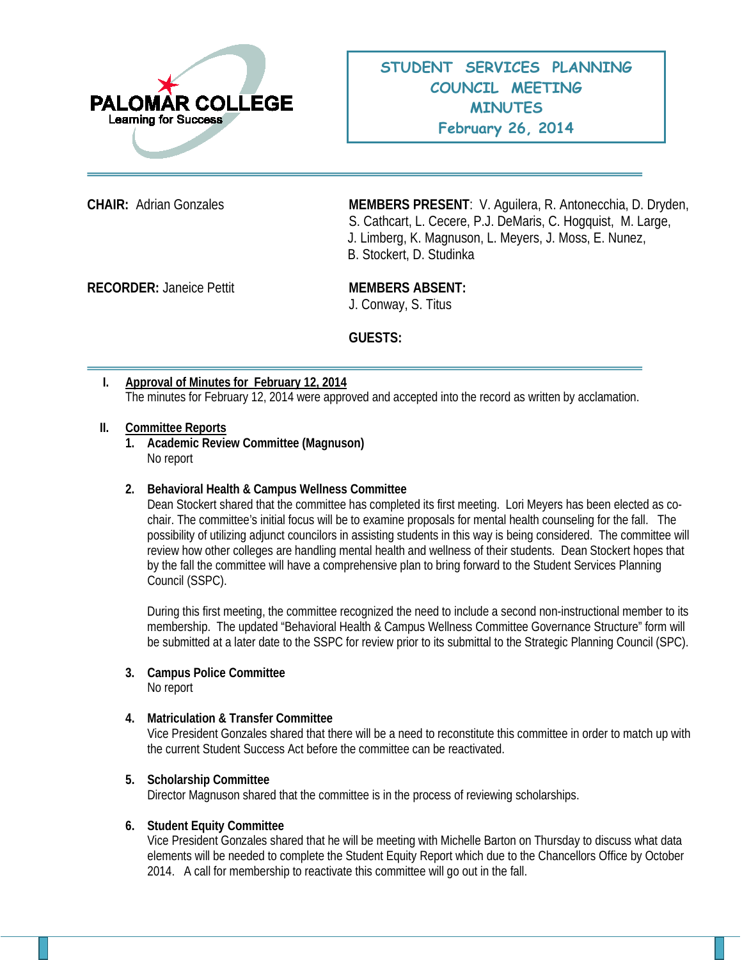

**CHAIR:** Adrian Gonzales **MEMBERS PRESENT**: V. Aguilera, R. Antonecchia, D. Dryden, S. Cathcart, L. Cecere, P.J. DeMaris, C. Hogquist, M. Large, J. Limberg, K. Magnuson, L. Meyers, J. Moss, E. Nunez, B. Stockert, D. Studinka

**RECORDER:** Janeice Pettit **MEMBERS ABSENT:** 

J. Conway, S. Titus

**GUESTS:**

**I. Approval of Minutes for February 12, 2014** The minutes for February 12, 2014 were approved and accepted into the record as written by acclamation.

#### **II. Committee Reports**

**1. Academic Review Committee (Magnuson)** No report

# **2. Behavioral Health & Campus Wellness Committee**

Dean Stockert shared that the committee has completed its first meeting. Lori Meyers has been elected as cochair. The committee's initial focus will be to examine proposals for mental health counseling for the fall. The possibility of utilizing adjunct councilors in assisting students in this way is being considered. The committee will review how other colleges are handling mental health and wellness of their students. Dean Stockert hopes that by the fall the committee will have a comprehensive plan to bring forward to the Student Services Planning Council (SSPC).

During this first meeting, the committee recognized the need to include a second non-instructional member to its membership. The updated "Behavioral Health & Campus Wellness Committee Governance Structure" form will be submitted at a later date to the SSPC for review prior to its submittal to the Strategic Planning Council (SPC).

#### **3. Campus Police Committee**  No report

# **4. Matriculation & Transfer Committee**

Vice President Gonzales shared that there will be a need to reconstitute this committee in order to match up with the current Student Success Act before the committee can be reactivated.

#### **5. Scholarship Committee**

Director Magnuson shared that the committee is in the process of reviewing scholarships.

#### **6. Student Equity Committee**

Vice President Gonzales shared that he will be meeting with Michelle Barton on Thursday to discuss what data elements will be needed to complete the Student Equity Report which due to the Chancellors Office by October 2014. A call for membership to reactivate this committee will go out in the fall.